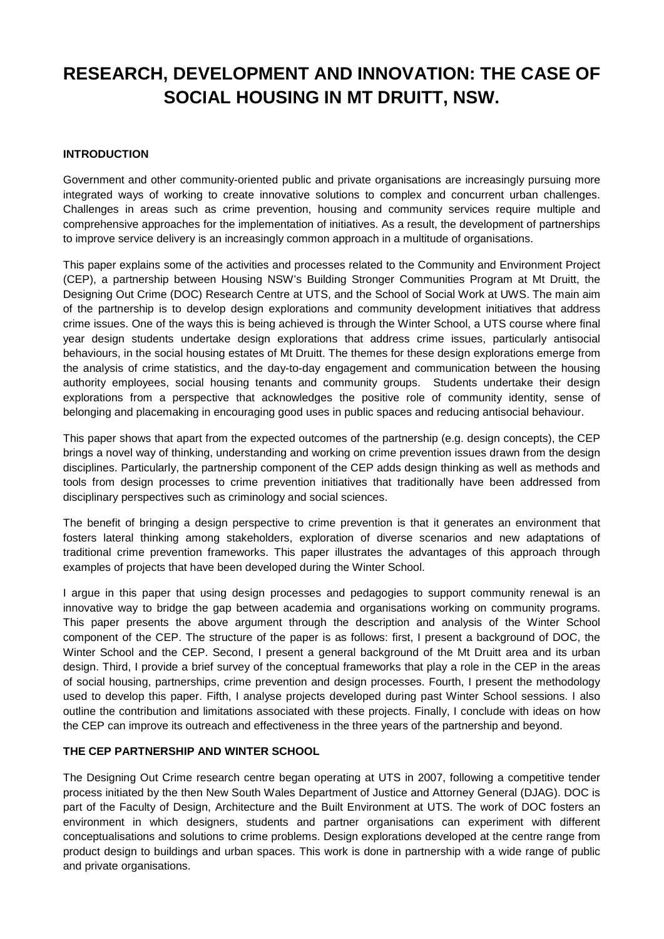# **RESEARCH, DEVELOPMENT AND INNOVATION: THE CASE OF SOCIAL HOUSING IN MT DRUITT, NSW.**

#### **INTRODUCTION**

Government and other community-oriented public and private organisations are increasingly pursuing more integrated ways of working to create innovative solutions to complex and concurrent urban challenges. Challenges in areas such as crime prevention, housing and community services require multiple and comprehensive approaches for the implementation of initiatives. As a result, the development of partnerships to improve service delivery is an increasingly common approach in a multitude of organisations.

This paper explains some of the activities and processes related to the Community and Environment Project (CEP), a partnership between Housing NSW's Building Stronger Communities Program at Mt Druitt, the Designing Out Crime (DOC) Research Centre at UTS, and the School of Social Work at UWS. The main aim of the partnership is to develop design explorations and community development initiatives that address crime issues. One of the ways this is being achieved is through the Winter School, a UTS course where final year design students undertake design explorations that address crime issues, particularly antisocial behaviours, in the social housing estates of Mt Druitt. The themes for these design explorations emerge from the analysis of crime statistics, and the day-to-day engagement and communication between the housing authority employees, social housing tenants and community groups. Students undertake their design explorations from a perspective that acknowledges the positive role of community identity, sense of belonging and placemaking in encouraging good uses in public spaces and reducing antisocial behaviour.

This paper shows that apart from the expected outcomes of the partnership (e.g. design concepts), the CEP brings a novel way of thinking, understanding and working on crime prevention issues drawn from the design disciplines. Particularly, the partnership component of the CEP adds design thinking as well as methods and tools from design processes to crime prevention initiatives that traditionally have been addressed from disciplinary perspectives such as criminology and social sciences.

The benefit of bringing a design perspective to crime prevention is that it generates an environment that fosters lateral thinking among stakeholders, exploration of diverse scenarios and new adaptations of traditional crime prevention frameworks. This paper illustrates the advantages of this approach through examples of projects that have been developed during the Winter School.

I argue in this paper that using design processes and pedagogies to support community renewal is an innovative way to bridge the gap between academia and organisations working on community programs. This paper presents the above argument through the description and analysis of the Winter School component of the CEP. The structure of the paper is as follows: first, I present a background of DOC, the Winter School and the CEP. Second, I present a general background of the Mt Druitt area and its urban design. Third, I provide a brief survey of the conceptual frameworks that play a role in the CEP in the areas of social housing, partnerships, crime prevention and design processes. Fourth, I present the methodology used to develop this paper. Fifth, I analyse projects developed during past Winter School sessions. I also outline the contribution and limitations associated with these projects. Finally, I conclude with ideas on how the CEP can improve its outreach and effectiveness in the three years of the partnership and beyond.

#### **THE CEP PARTNERSHIP AND WINTER SCHOOL**

The Designing Out Crime research centre began operating at UTS in 2007, following a competitive tender process initiated by the then New South Wales Department of Justice and Attorney General (DJAG). DOC is part of the Faculty of Design, Architecture and the Built Environment at UTS. The work of DOC fosters an environment in which designers, students and partner organisations can experiment with different conceptualisations and solutions to crime problems. Design explorations developed at the centre range from product design to buildings and urban spaces. This work is done in partnership with a wide range of public and private organisations.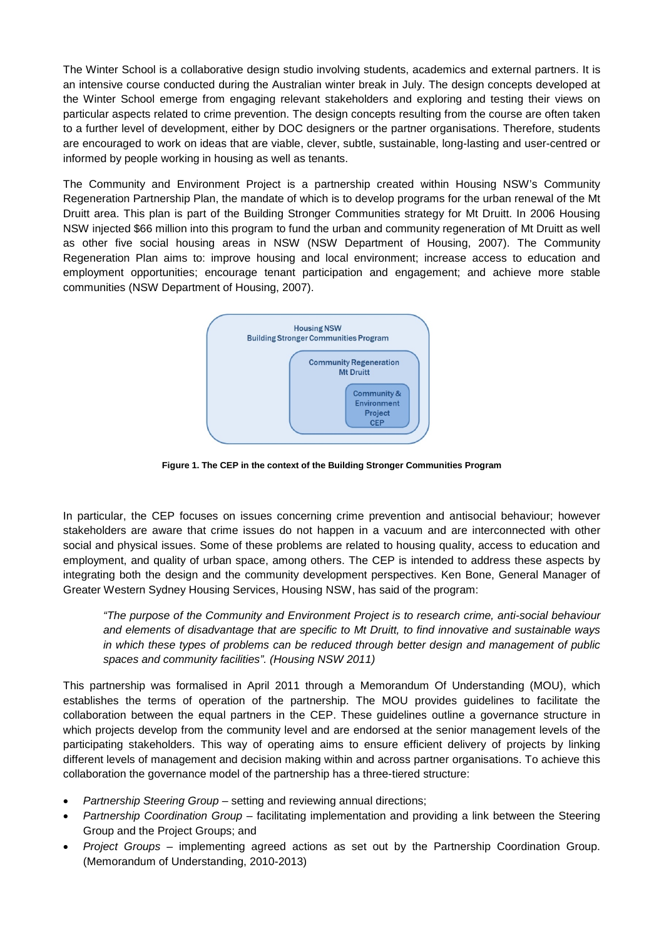The Winter School is a collaborative design studio involving students, academics and external partners. It is an intensive course conducted during the Australian winter break in July. The design concepts developed at the Winter School emerge from engaging relevant stakeholders and exploring and testing their views on particular aspects related to crime prevention. The design concepts resulting from the course are often taken to a further level of development, either by DOC designers or the partner organisations. Therefore, students are encouraged to work on ideas that are viable, clever, subtle, sustainable, long-lasting and user-centred or informed by people working in housing as well as tenants.

The Community and Environment Project is a partnership created within Housing NSW's Community Regeneration Partnership Plan, the mandate of which is to develop programs for the urban renewal of the Mt Druitt area. This plan is part of the Building Stronger Communities strategy for Mt Druitt. In 2006 Housing NSW injected \$66 million into this program to fund the urban and community regeneration of Mt Druitt as well as other five social housing areas in NSW (NSW Department of Housing, 2007). The Community Regeneration Plan aims to: improve housing and local environment; increase access to education and employment opportunities; encourage tenant participation and engagement; and achieve more stable communities (NSW Department of Housing, 2007).



**Figure 1. The CEP in the context of the Building Stronger Communities Program**

In particular, the CEP focuses on issues concerning crime prevention and antisocial behaviour; however stakeholders are aware that crime issues do not happen in a vacuum and are interconnected with other social and physical issues. Some of these problems are related to housing quality, access to education and employment, and quality of urban space, among others. The CEP is intended to address these aspects by integrating both the design and the community development perspectives. Ken Bone, General Manager of Greater Western Sydney Housing Services, Housing NSW, has said of the program:

*"The purpose of the Community and Environment Project is to research crime, anti-social behaviour and elements of disadvantage that are specific to Mt Druitt, to find innovative and sustainable ways in which these types of problems can be reduced through better design and management of public spaces and community facilities". (Housing NSW 2011)*

This partnership was formalised in April 2011 through a Memorandum Of Understanding (MOU), which establishes the terms of operation of the partnership. The MOU provides guidelines to facilitate the collaboration between the equal partners in the CEP. These guidelines outline a governance structure in which projects develop from the community level and are endorsed at the senior management levels of the participating stakeholders. This way of operating aims to ensure efficient delivery of projects by linking different levels of management and decision making within and across partner organisations. To achieve this collaboration the governance model of the partnership has a three-tiered structure:

- *Partnership Steering Group* setting and reviewing annual directions;
- *Partnership Coordination Group* facilitating implementation and providing a link between the Steering Group and the Project Groups; and
- *Project Groups* implementing agreed actions as set out by the Partnership Coordination Group. (Memorandum of Understanding, 2010-2013)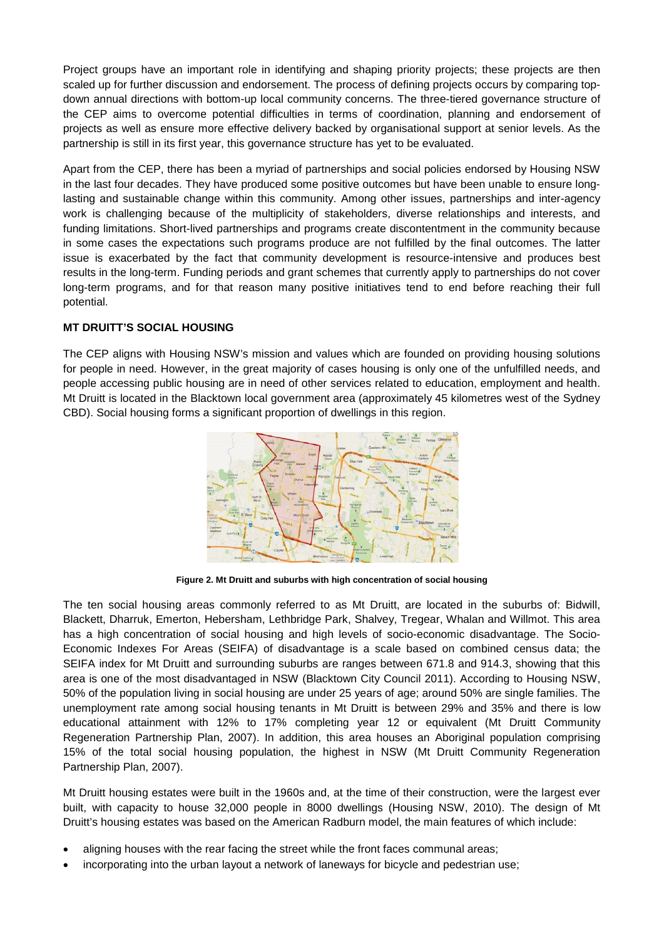Project groups have an important role in identifying and shaping priority projects; these projects are then scaled up for further discussion and endorsement. The process of defining projects occurs by comparing topdown annual directions with bottom-up local community concerns. The three-tiered governance structure of the CEP aims to overcome potential difficulties in terms of coordination, planning and endorsement of projects as well as ensure more effective delivery backed by organisational support at senior levels. As the partnership is still in its first year, this governance structure has yet to be evaluated.

Apart from the CEP, there has been a myriad of partnerships and social policies endorsed by Housing NSW in the last four decades. They have produced some positive outcomes but have been unable to ensure longlasting and sustainable change within this community. Among other issues, partnerships and inter-agency work is challenging because of the multiplicity of stakeholders, diverse relationships and interests, and funding limitations. Short-lived partnerships and programs create discontentment in the community because in some cases the expectations such programs produce are not fulfilled by the final outcomes. The latter issue is exacerbated by the fact that community development is resource-intensive and produces best results in the long-term. Funding periods and grant schemes that currently apply to partnerships do not cover long-term programs, and for that reason many positive initiatives tend to end before reaching their full potential.

## **MT DRUITT'S SOCIAL HOUSING**

The CEP aligns with Housing NSW's mission and values which are founded on providing housing solutions for people in need. However, in the great majority of cases housing is only one of the unfulfilled needs, and people accessing public housing are in need of other services related to education, employment and health. Mt Druitt is located in the Blacktown local government area (approximately 45 kilometres west of the Sydney CBD). Social housing forms a significant proportion of dwellings in this region.



**Figure 2. Mt Druitt and suburbs with high concentration of social housing**

The ten social housing areas commonly referred to as Mt Druitt, are located in the suburbs of: Bidwill, Blackett, Dharruk, Emerton, Hebersham, Lethbridge Park, Shalvey, Tregear, Whalan and Willmot. This area has a high concentration of social housing and high levels of socio-economic disadvantage. The Socio-Economic Indexes For Areas (SEIFA) of disadvantage is a scale based on combined census data; the SEIFA index for Mt Druitt and surrounding suburbs are ranges between 671.8 and 914.3, showing that this area is one of the most disadvantaged in NSW (Blacktown City Council 2011). According to Housing NSW, 50% of the population living in social housing are under 25 years of age; around 50% are single families. The unemployment rate among social housing tenants in Mt Druitt is between 29% and 35% and there is low educational attainment with 12% to 17% completing year 12 or equivalent (Mt Druitt Community Regeneration Partnership Plan, 2007). In addition, this area houses an Aboriginal population comprising 15% of the total social housing population, the highest in NSW (Mt Druitt Community Regeneration Partnership Plan, 2007).

Mt Druitt housing estates were built in the 1960s and, at the time of their construction, were the largest ever built, with capacity to house 32,000 people in 8000 dwellings (Housing NSW, 2010). The design of Mt Druitt's housing estates was based on the American Radburn model, the main features of which include:

- aligning houses with the rear facing the street while the front faces communal areas;
- incorporating into the urban layout a network of laneways for bicycle and pedestrian use;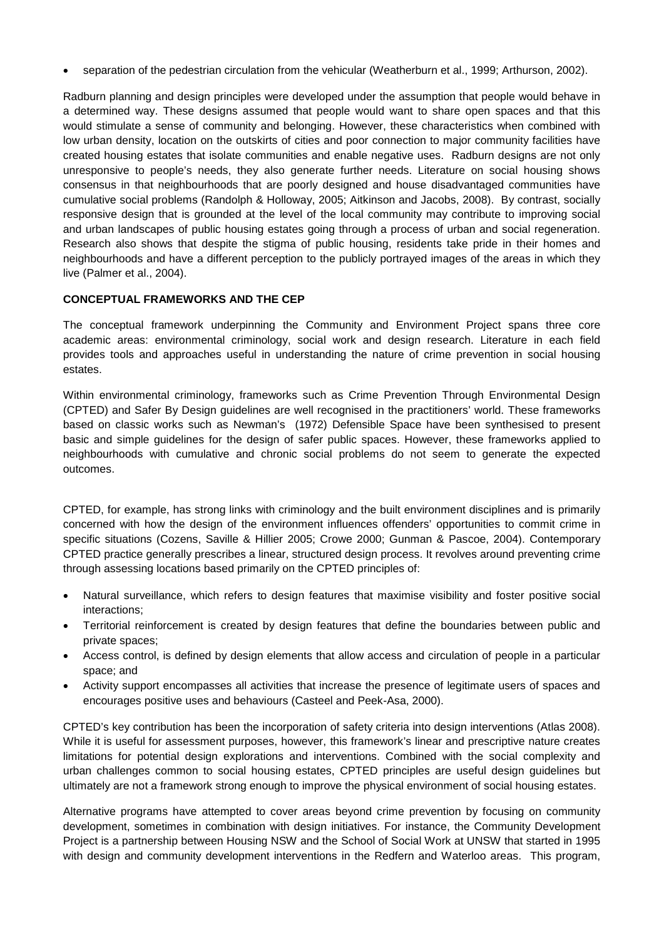• separation of the pedestrian circulation from the vehicular (Weatherburn et al., 1999; Arthurson, 2002).

Radburn planning and design principles were developed under the assumption that people would behave in a determined way. These designs assumed that people would want to share open spaces and that this would stimulate a sense of community and belonging. However, these characteristics when combined with low urban density, location on the outskirts of cities and poor connection to major community facilities have created housing estates that isolate communities and enable negative uses. Radburn designs are not only unresponsive to people's needs, they also generate further needs. Literature on social housing shows consensus in that neighbourhoods that are poorly designed and house disadvantaged communities have cumulative social problems (Randolph & Holloway, 2005; Aitkinson and Jacobs, 2008). By contrast, socially responsive design that is grounded at the level of the local community may contribute to improving social and urban landscapes of public housing estates going through a process of urban and social regeneration. Research also shows that despite the stigma of public housing, residents take pride in their homes and neighbourhoods and have a different perception to the publicly portrayed images of the areas in which they live (Palmer et al., 2004).

### **CONCEPTUAL FRAMEWORKS AND THE CEP**

The conceptual framework underpinning the Community and Environment Project spans three core academic areas: environmental criminology, social work and design research. Literature in each field provides tools and approaches useful in understanding the nature of crime prevention in social housing estates.

Within environmental criminology, frameworks such as Crime Prevention Through Environmental Design (CPTED) and Safer By Design guidelines are well recognised in the practitioners' world. These frameworks based on classic works such as Newman's (1972) Defensible Space have been synthesised to present basic and simple guidelines for the design of safer public spaces. However, these frameworks applied to neighbourhoods with cumulative and chronic social problems do not seem to generate the expected outcomes.

CPTED, for example, has strong links with criminology and the built environment disciplines and is primarily concerned with how the design of the environment influences offenders' opportunities to commit crime in specific situations (Cozens, Saville & Hillier 2005; Crowe 2000; Gunman & Pascoe, 2004). Contemporary CPTED practice generally prescribes a linear, structured design process. It revolves around preventing crime through assessing locations based primarily on the CPTED principles of:

- Natural surveillance, which refers to design features that maximise visibility and foster positive social interactions;
- Territorial reinforcement is created by design features that define the boundaries between public and private spaces;
- Access control, is defined by design elements that allow access and circulation of people in a particular space; and
- Activity support encompasses all activities that increase the presence of legitimate users of spaces and encourages positive uses and behaviours (Casteel and Peek-Asa, 2000).

CPTED's key contribution has been the incorporation of safety criteria into design interventions (Atlas 2008). While it is useful for assessment purposes, however, this framework's linear and prescriptive nature creates limitations for potential design explorations and interventions. Combined with the social complexity and urban challenges common to social housing estates, CPTED principles are useful design guidelines but ultimately are not a framework strong enough to improve the physical environment of social housing estates.

Alternative programs have attempted to cover areas beyond crime prevention by focusing on community development, sometimes in combination with design initiatives. For instance, the Community Development Project is a partnership between Housing NSW and the School of Social Work at UNSW that started in 1995 with design and community development interventions in the Redfern and Waterloo areas. This program,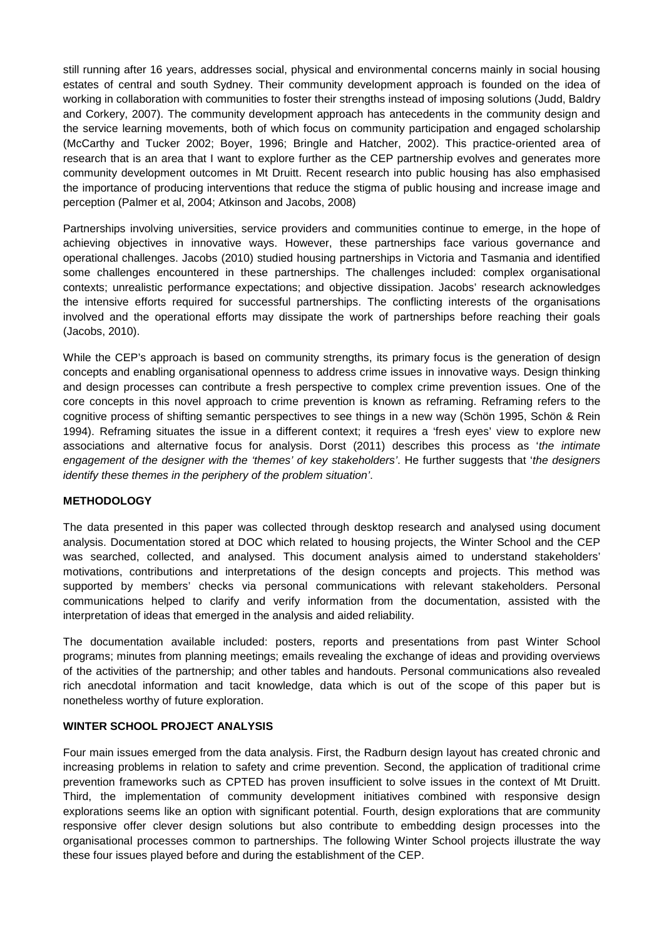still running after 16 years, addresses social, physical and environmental concerns mainly in social housing estates of central and south Sydney. Their community development approach is founded on the idea of working in collaboration with communities to foster their strengths instead of imposing solutions (Judd, Baldry and Corkery, 2007). The community development approach has antecedents in the community design and the service learning movements, both of which focus on community participation and engaged scholarship (McCarthy and Tucker 2002; Boyer, 1996; Bringle and Hatcher, 2002). This practice-oriented area of research that is an area that I want to explore further as the CEP partnership evolves and generates more community development outcomes in Mt Druitt. Recent research into public housing has also emphasised the importance of producing interventions that reduce the stigma of public housing and increase image and perception (Palmer et al, 2004; Atkinson and Jacobs, 2008)

Partnerships involving universities, service providers and communities continue to emerge, in the hope of achieving objectives in innovative ways. However, these partnerships face various governance and operational challenges. Jacobs (2010) studied housing partnerships in Victoria and Tasmania and identified some challenges encountered in these partnerships. The challenges included: complex organisational contexts; unrealistic performance expectations; and objective dissipation. Jacobs' research acknowledges the intensive efforts required for successful partnerships. The conflicting interests of the organisations involved and the operational efforts may dissipate the work of partnerships before reaching their goals (Jacobs, 2010).

While the CEP's approach is based on community strengths, its primary focus is the generation of design concepts and enabling organisational openness to address crime issues in innovative ways. Design thinking and design processes can contribute a fresh perspective to complex crime prevention issues. One of the core concepts in this novel approach to crime prevention is known as reframing. Reframing refers to the cognitive process of shifting semantic perspectives to see things in a new way (Schön 1995, Schön & Rein 1994). Reframing situates the issue in a different context; it requires a 'fresh eyes' view to explore new associations and alternative focus for analysis. Dorst (2011) describes this process as '*the intimate engagement of the designer with the 'themes' of key stakeholders'*. He further suggests that '*the designers identify these themes in the periphery of the problem situation'*.

### **METHODOLOGY**

The data presented in this paper was collected through desktop research and analysed using document analysis. Documentation stored at DOC which related to housing projects, the Winter School and the CEP was searched, collected, and analysed. This document analysis aimed to understand stakeholders' motivations, contributions and interpretations of the design concepts and projects. This method was supported by members' checks via personal communications with relevant stakeholders. Personal communications helped to clarify and verify information from the documentation, assisted with the interpretation of ideas that emerged in the analysis and aided reliability.

The documentation available included: posters, reports and presentations from past Winter School programs; minutes from planning meetings; emails revealing the exchange of ideas and providing overviews of the activities of the partnership; and other tables and handouts. Personal communications also revealed rich anecdotal information and tacit knowledge, data which is out of the scope of this paper but is nonetheless worthy of future exploration.

### **WINTER SCHOOL PROJECT ANALYSIS**

Four main issues emerged from the data analysis. First, the Radburn design layout has created chronic and increasing problems in relation to safety and crime prevention. Second, the application of traditional crime prevention frameworks such as CPTED has proven insufficient to solve issues in the context of Mt Druitt. Third, the implementation of community development initiatives combined with responsive design explorations seems like an option with significant potential. Fourth, design explorations that are community responsive offer clever design solutions but also contribute to embedding design processes into the organisational processes common to partnerships. The following Winter School projects illustrate the way these four issues played before and during the establishment of the CEP.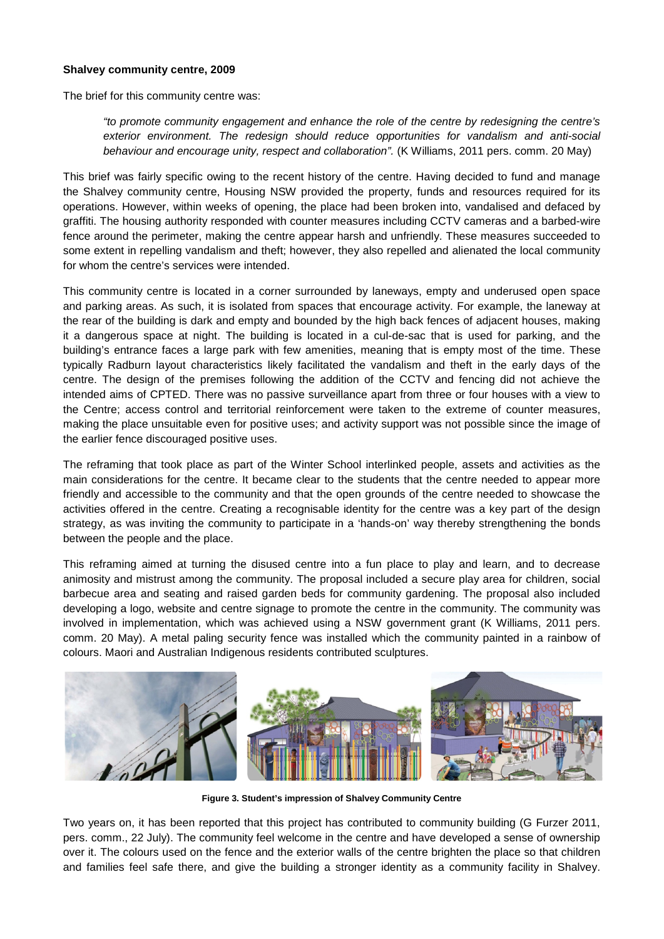#### **Shalvey community centre, 2009**

The brief for this community centre was:

*"to promote community engagement and enhance the role of the centre by redesigning the centre's exterior environment. The redesign should reduce opportunities for vandalism and anti-social behaviour and encourage unity, respect and collaboration".* (K Williams, 2011 pers. comm. 20 May)

This brief was fairly specific owing to the recent history of the centre. Having decided to fund and manage the Shalvey community centre, Housing NSW provided the property, funds and resources required for its operations. However, within weeks of opening, the place had been broken into, vandalised and defaced by graffiti. The housing authority responded with counter measures including CCTV cameras and a barbed-wire fence around the perimeter, making the centre appear harsh and unfriendly. These measures succeeded to some extent in repelling vandalism and theft; however, they also repelled and alienated the local community for whom the centre's services were intended.

This community centre is located in a corner surrounded by laneways, empty and underused open space and parking areas. As such, it is isolated from spaces that encourage activity. For example, the laneway at the rear of the building is dark and empty and bounded by the high back fences of adjacent houses, making it a dangerous space at night. The building is located in a cul-de-sac that is used for parking, and the building's entrance faces a large park with few amenities, meaning that is empty most of the time. These typically Radburn layout characteristics likely facilitated the vandalism and theft in the early days of the centre. The design of the premises following the addition of the CCTV and fencing did not achieve the intended aims of CPTED. There was no passive surveillance apart from three or four houses with a view to the Centre; access control and territorial reinforcement were taken to the extreme of counter measures, making the place unsuitable even for positive uses; and activity support was not possible since the image of the earlier fence discouraged positive uses.

The reframing that took place as part of the Winter School interlinked people, assets and activities as the main considerations for the centre. It became clear to the students that the centre needed to appear more friendly and accessible to the community and that the open grounds of the centre needed to showcase the activities offered in the centre. Creating a recognisable identity for the centre was a key part of the design strategy, as was inviting the community to participate in a 'hands-on' way thereby strengthening the bonds between the people and the place.

This reframing aimed at turning the disused centre into a fun place to play and learn, and to decrease animosity and mistrust among the community. The proposal included a secure play area for children, social barbecue area and seating and raised garden beds for community gardening. The proposal also included developing a logo, website and centre signage to promote the centre in the community. The community was involved in implementation, which was achieved using a NSW government grant (K Williams, 2011 pers. comm. 20 May). A metal paling security fence was installed which the community painted in a rainbow of colours. Maori and Australian Indigenous residents contributed sculptures.



**Figure 3. Student's impression of Shalvey Community Centre**

Two years on, it has been reported that this project has contributed to community building (G Furzer 2011, pers. comm., 22 July). The community feel welcome in the centre and have developed a sense of ownership over it. The colours used on the fence and the exterior walls of the centre brighten the place so that children and families feel safe there, and give the building a stronger identity as a community facility in Shalvey.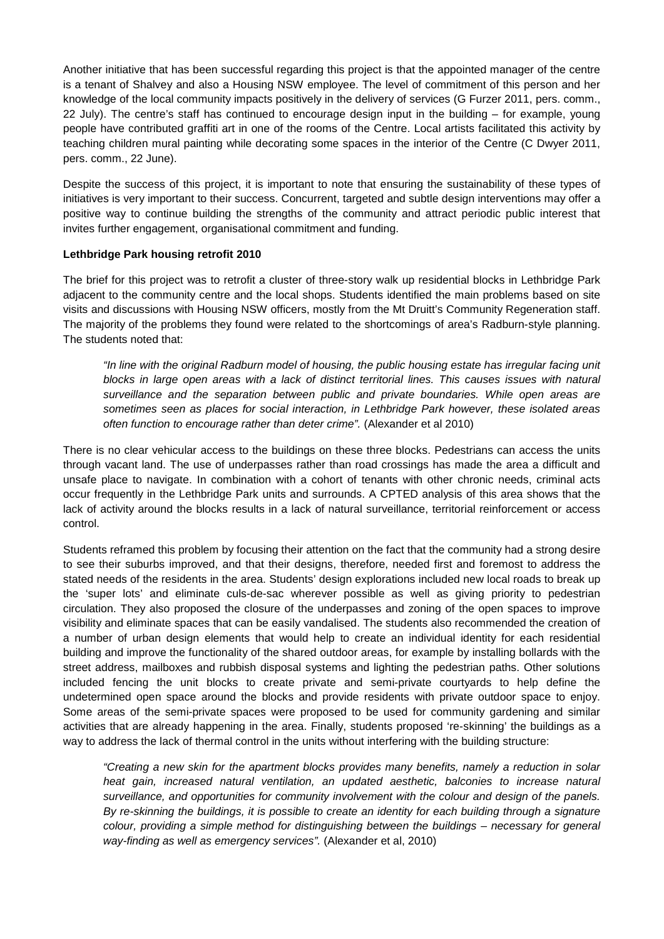Another initiative that has been successful regarding this project is that the appointed manager of the centre is a tenant of Shalvey and also a Housing NSW employee. The level of commitment of this person and her knowledge of the local community impacts positively in the delivery of services (G Furzer 2011, pers. comm., 22 July). The centre's staff has continued to encourage design input in the building – for example, young people have contributed graffiti art in one of the rooms of the Centre. Local artists facilitated this activity by teaching children mural painting while decorating some spaces in the interior of the Centre (C Dwyer 2011, pers. comm., 22 June).

Despite the success of this project, it is important to note that ensuring the sustainability of these types of initiatives is very important to their success. Concurrent, targeted and subtle design interventions may offer a positive way to continue building the strengths of the community and attract periodic public interest that invites further engagement, organisational commitment and funding.

### **Lethbridge Park housing retrofit 2010**

The brief for this project was to retrofit a cluster of three-story walk up residential blocks in Lethbridge Park adjacent to the community centre and the local shops. Students identified the main problems based on site visits and discussions with Housing NSW officers, mostly from the Mt Druitt's Community Regeneration staff. The majority of the problems they found were related to the shortcomings of area's Radburn-style planning. The students noted that:

*"In line with the original Radburn model of housing, the public housing estate has irregular facing unit*  blocks in large open areas with a lack of distinct territorial lines. This causes issues with natural *surveillance and the separation between public and private boundaries. While open areas are sometimes seen as places for social interaction, in Lethbridge Park however, these isolated areas often function to encourage rather than deter crime".* (Alexander et al 2010)

There is no clear vehicular access to the buildings on these three blocks. Pedestrians can access the units through vacant land. The use of underpasses rather than road crossings has made the area a difficult and unsafe place to navigate. In combination with a cohort of tenants with other chronic needs, criminal acts occur frequently in the Lethbridge Park units and surrounds. A CPTED analysis of this area shows that the lack of activity around the blocks results in a lack of natural surveillance, territorial reinforcement or access control.

Students reframed this problem by focusing their attention on the fact that the community had a strong desire to see their suburbs improved, and that their designs, therefore, needed first and foremost to address the stated needs of the residents in the area. Students' design explorations included new local roads to break up the 'super lots' and eliminate culs-de-sac wherever possible as well as giving priority to pedestrian circulation. They also proposed the closure of the underpasses and zoning of the open spaces to improve visibility and eliminate spaces that can be easily vandalised. The students also recommended the creation of a number of urban design elements that would help to create an individual identity for each residential building and improve the functionality of the shared outdoor areas, for example by installing bollards with the street address, mailboxes and rubbish disposal systems and lighting the pedestrian paths. Other solutions included fencing the unit blocks to create private and semi-private courtyards to help define the undetermined open space around the blocks and provide residents with private outdoor space to enjoy. Some areas of the semi-private spaces were proposed to be used for community gardening and similar activities that are already happening in the area. Finally, students proposed 're-skinning' the buildings as a way to address the lack of thermal control in the units without interfering with the building structure:

*"Creating a new skin for the apartment blocks provides many benefits, namely a reduction in solar*  heat gain, increased natural ventilation, an updated aesthetic, balconies to increase natural *surveillance, and opportunities for community involvement with the colour and design of the panels. By re-skinning the buildings, it is possible to create an identity for each building through a signature colour, providing a simple method for distinguishing between the buildings – necessary for general way-finding as well as emergency services".* (Alexander et al, 2010)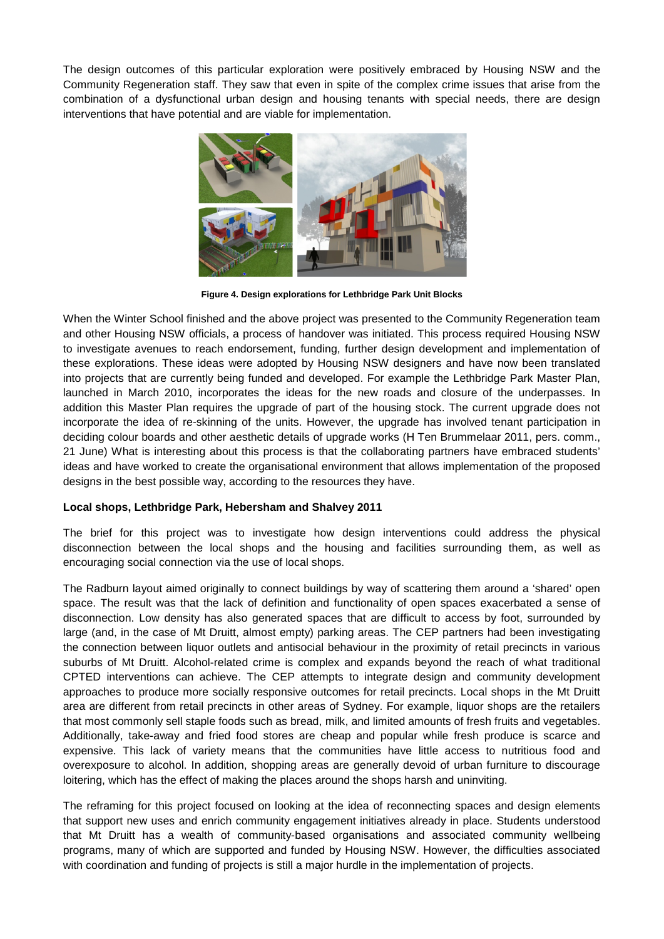The design outcomes of this particular exploration were positively embraced by Housing NSW and the Community Regeneration staff. They saw that even in spite of the complex crime issues that arise from the combination of a dysfunctional urban design and housing tenants with special needs, there are design interventions that have potential and are viable for implementation.



**Figure 4. Design explorations for Lethbridge Park Unit Blocks**

When the Winter School finished and the above project was presented to the Community Regeneration team and other Housing NSW officials, a process of handover was initiated. This process required Housing NSW to investigate avenues to reach endorsement, funding, further design development and implementation of these explorations. These ideas were adopted by Housing NSW designers and have now been translated into projects that are currently being funded and developed. For example the Lethbridge Park Master Plan, launched in March 2010, incorporates the ideas for the new roads and closure of the underpasses. In addition this Master Plan requires the upgrade of part of the housing stock. The current upgrade does not incorporate the idea of re-skinning of the units. However, the upgrade has involved tenant participation in deciding colour boards and other aesthetic details of upgrade works (H Ten Brummelaar 2011, pers. comm., 21 June) What is interesting about this process is that the collaborating partners have embraced students' ideas and have worked to create the organisational environment that allows implementation of the proposed designs in the best possible way, according to the resources they have.

### **Local shops, Lethbridge Park, Hebersham and Shalvey 2011**

The brief for this project was to investigate how design interventions could address the physical disconnection between the local shops and the housing and facilities surrounding them, as well as encouraging social connection via the use of local shops.

The Radburn layout aimed originally to connect buildings by way of scattering them around a 'shared' open space. The result was that the lack of definition and functionality of open spaces exacerbated a sense of disconnection. Low density has also generated spaces that are difficult to access by foot, surrounded by large (and, in the case of Mt Druitt, almost empty) parking areas. The CEP partners had been investigating the connection between liquor outlets and antisocial behaviour in the proximity of retail precincts in various suburbs of Mt Druitt. Alcohol-related crime is complex and expands beyond the reach of what traditional CPTED interventions can achieve. The CEP attempts to integrate design and community development approaches to produce more socially responsive outcomes for retail precincts. Local shops in the Mt Druitt area are different from retail precincts in other areas of Sydney. For example, liquor shops are the retailers that most commonly sell staple foods such as bread, milk, and limited amounts of fresh fruits and vegetables. Additionally, take-away and fried food stores are cheap and popular while fresh produce is scarce and expensive. This lack of variety means that the communities have little access to nutritious food and overexposure to alcohol. In addition, shopping areas are generally devoid of urban furniture to discourage loitering, which has the effect of making the places around the shops harsh and uninviting.

The reframing for this project focused on looking at the idea of reconnecting spaces and design elements that support new uses and enrich community engagement initiatives already in place. Students understood that Mt Druitt has a wealth of community-based organisations and associated community wellbeing programs, many of which are supported and funded by Housing NSW. However, the difficulties associated with coordination and funding of projects is still a major hurdle in the implementation of projects.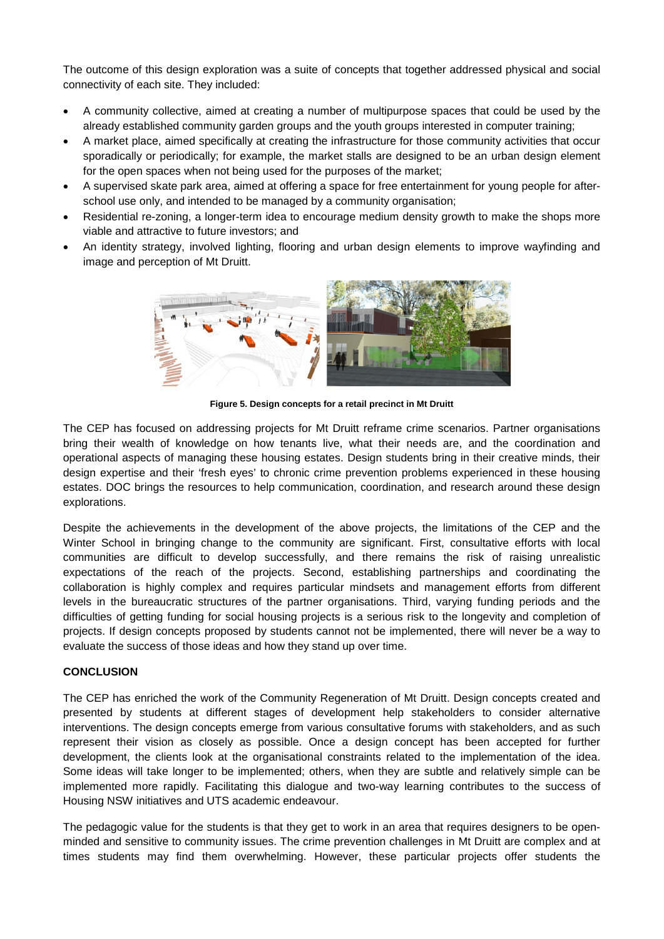The outcome of this design exploration was a suite of concepts that together addressed physical and social connectivity of each site. They included:

- A community collective, aimed at creating a number of multipurpose spaces that could be used by the already established community garden groups and the youth groups interested in computer training;
- A market place, aimed specifically at creating the infrastructure for those community activities that occur sporadically or periodically; for example, the market stalls are designed to be an urban design element for the open spaces when not being used for the purposes of the market;
- A supervised skate park area, aimed at offering a space for free entertainment for young people for afterschool use only, and intended to be managed by a community organisation;
- Residential re-zoning, a longer-term idea to encourage medium density growth to make the shops more viable and attractive to future investors; and
- An identity strategy, involved lighting, flooring and urban design elements to improve wayfinding and image and perception of Mt Druitt.



**Figure 5. Design concepts for a retail precinct in Mt Druitt**

The CEP has focused on addressing projects for Mt Druitt reframe crime scenarios. Partner organisations bring their wealth of knowledge on how tenants live, what their needs are, and the coordination and operational aspects of managing these housing estates. Design students bring in their creative minds, their design expertise and their 'fresh eyes' to chronic crime prevention problems experienced in these housing estates. DOC brings the resources to help communication, coordination, and research around these design explorations.

Despite the achievements in the development of the above projects, the limitations of the CEP and the Winter School in bringing change to the community are significant. First, consultative efforts with local communities are difficult to develop successfully, and there remains the risk of raising unrealistic expectations of the reach of the projects. Second, establishing partnerships and coordinating the collaboration is highly complex and requires particular mindsets and management efforts from different levels in the bureaucratic structures of the partner organisations. Third, varying funding periods and the difficulties of getting funding for social housing projects is a serious risk to the longevity and completion of projects. If design concepts proposed by students cannot not be implemented, there will never be a way to evaluate the success of those ideas and how they stand up over time.

### **CONCLUSION**

The CEP has enriched the work of the Community Regeneration of Mt Druitt. Design concepts created and presented by students at different stages of development help stakeholders to consider alternative interventions. The design concepts emerge from various consultative forums with stakeholders, and as such represent their vision as closely as possible. Once a design concept has been accepted for further development, the clients look at the organisational constraints related to the implementation of the idea. Some ideas will take longer to be implemented; others, when they are subtle and relatively simple can be implemented more rapidly. Facilitating this dialogue and two-way learning contributes to the success of Housing NSW initiatives and UTS academic endeavour.

The pedagogic value for the students is that they get to work in an area that requires designers to be openminded and sensitive to community issues. The crime prevention challenges in Mt Druitt are complex and at times students may find them overwhelming. However, these particular projects offer students the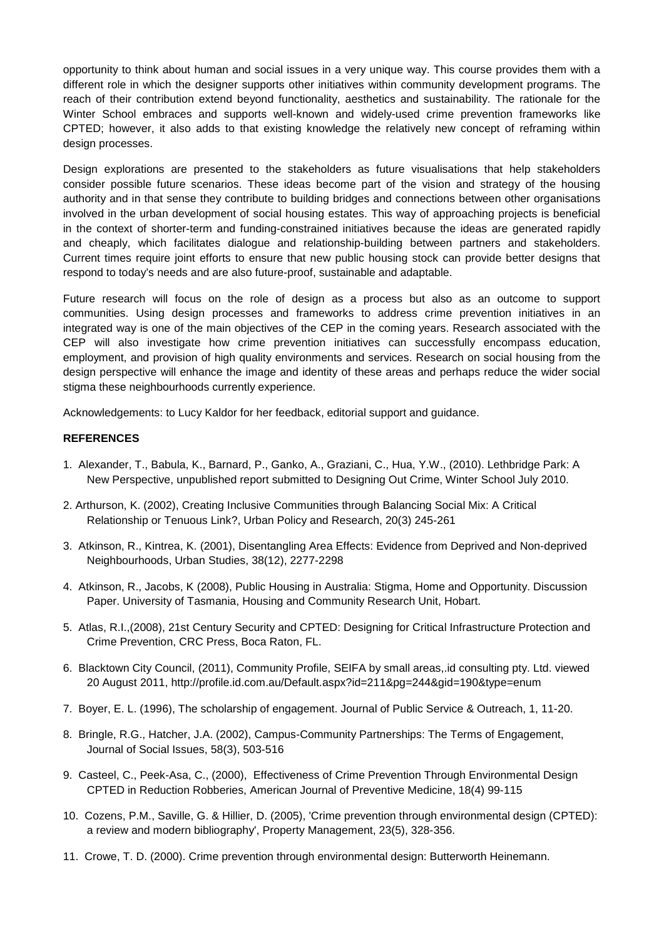opportunity to think about human and social issues in a very unique way. This course provides them with a different role in which the designer supports other initiatives within community development programs. The reach of their contribution extend beyond functionality, aesthetics and sustainability. The rationale for the Winter School embraces and supports well-known and widely-used crime prevention frameworks like CPTED; however, it also adds to that existing knowledge the relatively new concept of reframing within design processes.

Design explorations are presented to the stakeholders as future visualisations that help stakeholders consider possible future scenarios. These ideas become part of the vision and strategy of the housing authority and in that sense they contribute to building bridges and connections between other organisations involved in the urban development of social housing estates. This way of approaching projects is beneficial in the context of shorter-term and funding-constrained initiatives because the ideas are generated rapidly and cheaply, which facilitates dialogue and relationship-building between partners and stakeholders. Current times require joint efforts to ensure that new public housing stock can provide better designs that respond to today's needs and are also future-proof, sustainable and adaptable.

Future research will focus on the role of design as a process but also as an outcome to support communities. Using design processes and frameworks to address crime prevention initiatives in an integrated way is one of the main objectives of the CEP in the coming years. Research associated with the CEP will also investigate how crime prevention initiatives can successfully encompass education, employment, and provision of high quality environments and services. Research on social housing from the design perspective will enhance the image and identity of these areas and perhaps reduce the wider social stigma these neighbourhoods currently experience.

Acknowledgements: to Lucy Kaldor for her feedback, editorial support and guidance.

### **REFERENCES**

- 1. Alexander, T., Babula, K., Barnard, P., Ganko, A., Graziani, C., Hua, Y.W., (2010). Lethbridge Park: A New Perspective, unpublished report submitted to Designing Out Crime, Winter School July 2010.
- 2. Arthurson, K. (2002), Creating Inclusive Communities through Balancing Social Mix: A Critical Relationship or Tenuous Link?, Urban Policy and Research, 20(3) 245-261
- 3. Atkinson, R., Kintrea, K. (2001), Disentangling Area Effects: Evidence from Deprived and Non-deprived Neighbourhoods, Urban Studies, 38(12), 2277-2298
- 4. Atkinson, R., Jacobs, K (2008), Public Housing in Australia: Stigma, Home and Opportunity. Discussion Paper. University of Tasmania, Housing and Community Research Unit, Hobart.
- 5. Atlas, R.I.,(2008), 21st Century Security and CPTED: Designing for Critical Infrastructure Protection and Crime Prevention, CRC Press, Boca Raton, FL.
- 6. Blacktown City Council, (2011), Community Profile, SEIFA by small areas,.id consulting pty. Ltd. viewed 20 August 2011, http://profile.id.com.au/Default.aspx?id=211&pg=244&gid=190&type=enum
- 7. Boyer, E. L. (1996), The scholarship of engagement. Journal of Public Service & Outreach, 1, 11-20.
- 8. Bringle, R.G., Hatcher, J.A. (2002), Campus-Community Partnerships: The Terms of Engagement, Journal of Social Issues, 58(3), 503-516
- 9. Casteel, C., Peek-Asa, C., (2000), Effectiveness of Crime Prevention Through Environmental Design CPTED in Reduction Robberies, American Journal of Preventive Medicine, 18(4) 99-115
- 10. Cozens, P.M., Saville, G. & Hillier, D. (2005), 'Crime prevention through environmental design (CPTED): a review and modern bibliography', Property Management, 23(5), 328-356.
- 11. Crowe, T. D. (2000). Crime prevention through environmental design: Butterworth Heinemann.